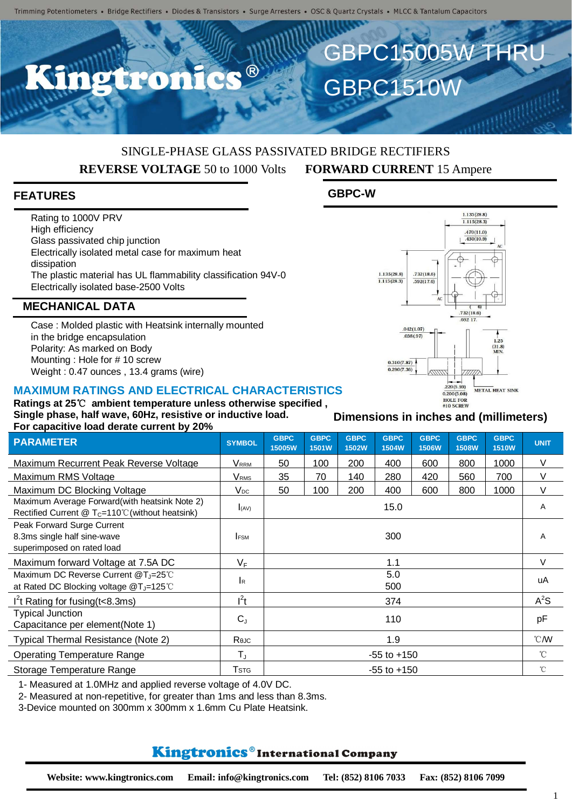# SINGLE-PHASE GLASS PASSIVATED BRIDGE RECTIFIERS **REVERSE VOLTAGE** 50 to 1000 Volts **FORWARD CURRENT** 15 Ampere

### **FEATURES**

Rating to 1000V PRV High efficiency Glass passivated chip junction Electrically isolated metal case for maximum heat dissipation The plastic material has UL flammability classification 94V-0 Electrically isolated base-2500 Volts

### **MECHANICAL DATA**

Case : Molded plastic with Heatsink internally mounted in the bridge encapsulation Polarity: As marked on Body Mounting : Hole for # 10 screw Weight : 0.47 ounces , 13.4 grams (wire)

#### **MAXIMUM RATINGS AND ELECTRICAL CHARACTERISTICS**

**Ratings at 25**℃ **ambient temperature unless otherwise specified , Single phase, half wave, 60Hz, resistive or inductive load. For capacitive load derate current by 20%**

| $\sim$ . Supporting four young suit only by EV70                                                         |                         |                       |                      |                             |                      |                             |                             |                             |                  |
|----------------------------------------------------------------------------------------------------------|-------------------------|-----------------------|----------------------|-----------------------------|----------------------|-----------------------------|-----------------------------|-----------------------------|------------------|
| <b>PARAMETER</b>                                                                                         | <b>SYMBOL</b>           | <b>GBPC</b><br>15005W | <b>GBPC</b><br>1501W | <b>GBPC</b><br><b>1502W</b> | <b>GBPC</b><br>1504W | <b>GBPC</b><br><b>1506W</b> | <b>GBPC</b><br><b>1508W</b> | <b>GBPC</b><br><b>1510W</b> | <b>UNIT</b>      |
| Maximum Recurrent Peak Reverse Voltage                                                                   | <b>VRRM</b>             | 50                    | 100                  | 200                         | 400                  | 600                         | 800                         | 1000                        | V                |
| Maximum RMS Voltage                                                                                      | <b>V</b> <sub>RMS</sub> | 35                    | 70                   | 140                         | 280                  | 420                         | 560                         | 700                         | V                |
| Maximum DC Blocking Voltage                                                                              | $V_{DC}$                | 50                    | 100                  | 200                         | 400                  | 600                         | 800                         | 1000                        | V                |
| Maximum Average Forward(with heatsink Note 2)<br>Rectified Current $@T_c=110^{\circ}$ (without heatsink) | (AV)                    | 15.0                  |                      |                             |                      |                             |                             |                             | Α                |
| Peak Forward Surge Current<br>8.3ms single half sine-wave<br>superimposed on rated load                  | <b>IFSM</b>             | 300                   |                      |                             |                      |                             |                             |                             | A                |
| Maximum forward Voltage at 7.5A DC                                                                       | $V_F$                   | 1.1                   |                      |                             |                      |                             |                             |                             | V                |
| Maximum DC Reverse Current @T <sub>J</sub> =25°C<br>at Rated DC Blocking voltage @T <sub>J</sub> =125°C  | <b>I</b> R              | 5.0<br>500            |                      |                             |                      |                             |                             |                             | uA               |
| $I2t$ Rating for fusing (t < 8.3ms)                                                                      | $l^2t$                  | 374                   |                      |                             |                      |                             |                             |                             | $A^2S$           |
| <b>Typical Junction</b><br>Capacitance per element(Note 1)                                               | $C_{J}$                 | 110                   |                      |                             |                      |                             |                             |                             | pF               |
| Typical Thermal Resistance (Note 2)                                                                      | Reuc                    | 1.9                   |                      |                             |                      |                             |                             |                             | $\mathcal{C}$ MV |
| <b>Operating Temperature Range</b>                                                                       | $T_J$                   | $-55$ to $+150$       |                      |                             |                      |                             |                             |                             | $^{\circ}C$      |
| Storage Temperature Range                                                                                | Tstg                    | $-55$ to $+150$       |                      |                             |                      |                             |                             |                             | $^{\circ}$ C     |

1- Measured at 1.0MHz and applied reverse voltage of 4.0V DC.

2- Measured at non-repetitive, for greater than 1ms and less than 8.3ms.

3-Device mounted on 300mm x 300mm x 1.6mm Cu Plate Heatsink.

## Kingtronics®International Company



 $1.135(28.8)$  $1.115(28.3)$  $.470(11.0)$  $\frac{110(11.0)}{0.430(10.9)}$ 

**GBPC15005W THRL** 

GBPC1510W

 $1,135(28,8)$ 

 $\frac{1.115(28.3)}{1.115(28.3)}$ 

**GBPC-W**